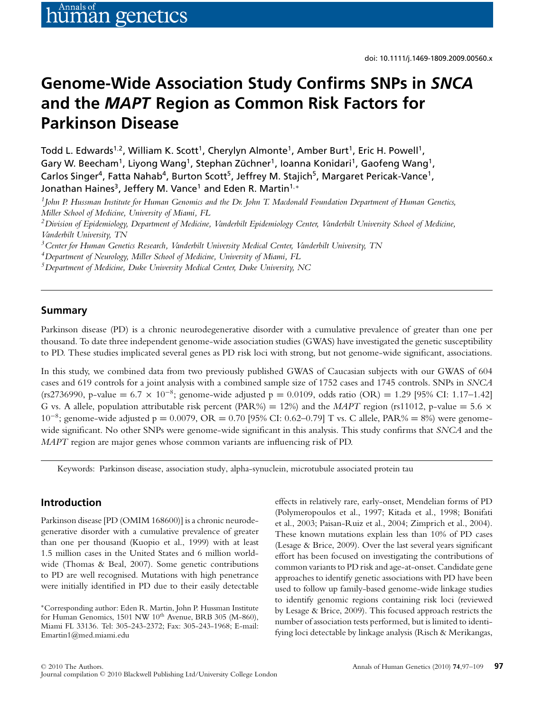# **Genome-Wide Association Study Confirms SNPs in** *SNCA* **and the** *MAPT* **Region as Common Risk Factors for Parkinson Disease**

Todd L. Edwards<sup>1,2</sup>, William K. Scott<sup>1</sup>, Cherylyn Almonte<sup>1</sup>, Amber Burt<sup>1</sup>, Eric H. Powell<sup>1</sup>, Gary W. Beecham<sup>1</sup>, Liyong Wang<sup>1</sup>, Stephan Züchner<sup>1</sup>, Ioanna Konidari<sup>1</sup>, Gaofeng Wang<sup>1</sup>, Carlos Singer<sup>4</sup>, Fatta Nahab<sup>4</sup>, Burton Scott<sup>5</sup>, Jeffrey M. Stajich<sup>5</sup>, Margaret Pericak-Vance<sup>1</sup>, Jonathan Haines<sup>3</sup>, Jeffery M. Vance<sup>1</sup> and Eden R. Martin<sup>1,∗</sup>

*1John P. Hussman Institute for Human Genomics and the Dr. John T. Macdonald Foundation Department of Human Genetics, Miller School of Medicine, University of Miami, FL*

*2Division of Epidemiology, Department of Medicine, Vanderbilt Epidemiology Center, Vanderbilt University School of Medicine, Vanderbilt University, TN*

*3Center for Human Genetics Research, Vanderbilt University Medical Center, Vanderbilt University, TN*

*4Department of Neurology, Miller School of Medicine, University of Miami, FL*

*5Department of Medicine, Duke University Medical Center, Duke University, NC*

### **Summary**

Parkinson disease (PD) is a chronic neurodegenerative disorder with a cumulative prevalence of greater than one per thousand. To date three independent genome-wide association studies (GWAS) have investigated the genetic susceptibility to PD. These studies implicated several genes as PD risk loci with strong, but not genome-wide significant, associations.

In this study, we combined data from two previously published GWAS of Caucasian subjects with our GWAS of 604 cases and 619 controls for a joint analysis with a combined sample size of 1752 cases and 1745 controls. SNPs in *SNCA* (rs2736990, p-value =  $6.7 \times 10^{-8}$ ; genome-wide adjusted p = 0.0109, odds ratio (OR) = 1.29 [95% CI: 1.17–1.42] G vs. A allele, population attributable risk percent (PAR%) = 12%) and the *MAPT* region (rs11012, p-value = 5.6  $\times$  $10^{-8}$ ; genome-wide adjusted p = 0.0079, OR = 0.70 [95% CI: 0.62–0.79] T vs. C allele, PAR% = 8%) were genomewide significant. No other SNPs were genome-wide significant in this analysis. This study confirms that *SNCA* and the *MAPT* region are major genes whose common variants are influencing risk of PD.

Keywords: Parkinson disease, association study, alpha-synuclein, microtubule associated protein tau

## **Introduction**

Parkinson disease [PD (OMIM 168600)] is a chronic neurodegenerative disorder with a cumulative prevalence of greater than one per thousand (Kuopio et al., 1999) with at least 1.5 million cases in the United States and 6 million worldwide (Thomas & Beal, 2007). Some genetic contributions to PD are well recognised. Mutations with high penetrance were initially identified in PD due to their easily detectable

<sup>∗</sup>Corresponding author: Eden R. Martin, John P. Hussman Institute for Human Genomics, 1501 NW 10<sup>th</sup> Avenue, BRB 305 (M-860), Miami FL 33136. Tel: 305-243-2372; Fax: 305-243-1968; E-mail: Emartin1@med.miami.edu

effects in relatively rare, early-onset, Mendelian forms of PD (Polymeropoulos et al., 1997; Kitada et al., 1998; Bonifati et al., 2003; Paisan-Ruiz et al., 2004; Zimprich et al., 2004). These known mutations explain less than 10% of PD cases (Lesage & Brice, 2009). Over the last several years significant effort has been focused on investigating the contributions of common variants to PD risk and age-at-onset. Candidate gene approaches to identify genetic associations with PD have been used to follow up family-based genome-wide linkage studies to identify genomic regions containing risk loci (reviewed by Lesage & Brice, 2009). This focused approach restricts the number of association tests performed, but is limited to identifying loci detectable by linkage analysis (Risch & Merikangas,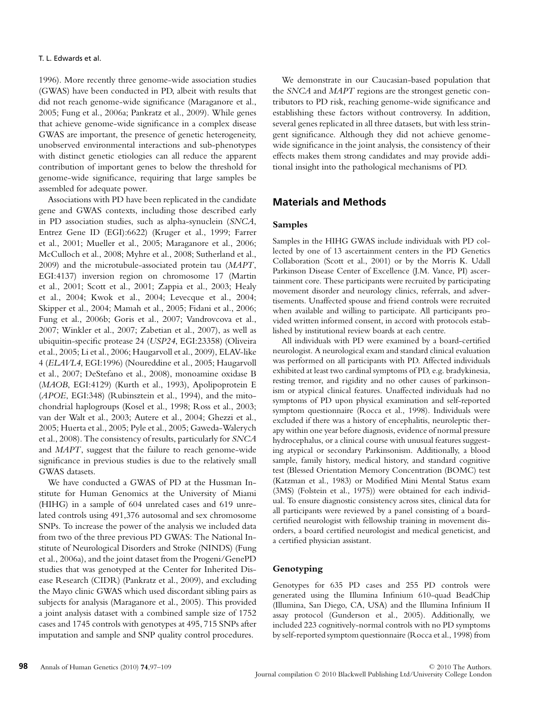1996). More recently three genome-wide association studies (GWAS) have been conducted in PD, albeit with results that did not reach genome-wide significance (Maraganore et al., 2005; Fung et al., 2006a; Pankratz et al., 2009). While genes that achieve genome-wide significance in a complex disease GWAS are important, the presence of genetic heterogeneity, unobserved environmental interactions and sub-phenotypes with distinct genetic etiologies can all reduce the apparent contribution of important genes to below the threshold for genome-wide significance, requiring that large samples be assembled for adequate power.

Associations with PD have been replicated in the candidate gene and GWAS contexts, including those described early in PD association studies, such as alpha-synuclein (*SNCA*, Entrez Gene ID (EGI):6622) (Kruger et al., 1999; Farrer et al., 2001; Mueller et al., 2005; Maraganore et al., 2006; McCulloch et al., 2008; Myhre et al., 2008; Sutherland et al., 2009) and the microtubule-associated protein tau (*MAPT*, EGI:4137) inversion region on chromosome 17 (Martin et al., 2001; Scott et al., 2001; Zappia et al., 2003; Healy et al., 2004; Kwok et al., 2004; Levecque et al., 2004; Skipper et al., 2004; Mamah et al., 2005; Fidani et al., 2006; Fung et al., 2006b; Goris et al., 2007; Vandrovcova et al., 2007; Winkler et al., 2007; Zabetian et al., 2007), as well as ubiquitin-specific protease 24 (*USP24*, EGI:23358) (Oliveira et al., 2005; Li et al., 2006; Haugarvoll et al., 2009), ELAV-like 4 (*ELAVL4*, EGI:1996) (Noureddine et al., 2005; Haugarvoll et al., 2007; DeStefano et al., 2008), monoamine oxidase B (*MAOB*, EGI:4129) (Kurth et al., 1993), Apolipoprotein E (*APOE*, EGI:348) (Rubinsztein et al., 1994), and the mitochondrial haplogroups (Kosel et al., 1998; Ross et al., 2003; van der Walt et al., 2003; Autere et al., 2004; Ghezzi et al., 2005; Huerta et al., 2005; Pyle et al., 2005; Gaweda-Walerych et al., 2008). The consistency of results, particularly for *SNCA* and *MAPT*, suggest that the failure to reach genome-wide significance in previous studies is due to the relatively small GWAS datasets.

We have conducted a GWAS of PD at the Hussman Institute for Human Genomics at the University of Miami (HIHG) in a sample of 604 unrelated cases and 619 unrelated controls using 491,376 autosomal and sex chromosome SNPs. To increase the power of the analysis we included data from two of the three previous PD GWAS: The National Institute of Neurological Disorders and Stroke (NINDS) (Fung et al., 2006a), and the joint dataset from the Progeni/GenePD studies that was genotyped at the Center for Inherited Disease Research (CIDR) (Pankratz et al., 2009), and excluding the Mayo clinic GWAS which used discordant sibling pairs as subjects for analysis (Maraganore et al., 2005). This provided a joint analysis dataset with a combined sample size of 1752 cases and 1745 controls with genotypes at 495, 715 SNPs after imputation and sample and SNP quality control procedures.

We demonstrate in our Caucasian-based population that the *SNCA* and *MAPT* regions are the strongest genetic contributors to PD risk, reaching genome-wide significance and establishing these factors without controversy. In addition, several genes replicated in all three datasets, but with less stringent significance. Although they did not achieve genomewide significance in the joint analysis, the consistency of their effects makes them strong candidates and may provide additional insight into the pathological mechanisms of PD.

## **Materials and Methods**

#### **Samples**

Samples in the HIHG GWAS include individuals with PD collected by one of 13 ascertainment centers in the PD Genetics Collaboration (Scott et al., 2001) or by the Morris K. Udall Parkinson Disease Center of Excellence (J.M. Vance, PI) ascertainment core. These participants were recruited by participating movement disorder and neurology clinics, referrals, and advertisements. Unaffected spouse and friend controls were recruited when available and willing to participate. All participants provided written informed consent, in accord with protocols established by institutional review boards at each centre.

All individuals with PD were examined by a board-certified neurologist. A neurological exam and standard clinical evaluation was performed on all participants with PD. Affected individuals exhibited at least two cardinal symptoms of PD, e.g. bradykinesia, resting tremor, and rigidity and no other causes of parkinsonism or atypical clinical features. Unaffected individuals had no symptoms of PD upon physical examination and self-reported symptom questionnaire (Rocca et al., 1998). Individuals were excluded if there was a history of encephalitis, neuroleptic therapy within one year before diagnosis, evidence of normal pressure hydrocephalus, or a clinical course with unusual features suggesting atypical or secondary Parkinsonism. Additionally, a blood sample, family history, medical history, and standard cognitive test (Blessed Orientation Memory Concentration (BOMC) test (Katzman et al., 1983) or Modified Mini Mental Status exam (3MS) (Folstein et al., 1975)) were obtained for each individual. To ensure diagnostic consistency across sites, clinical data for all participants were reviewed by a panel consisting of a boardcertified neurologist with fellowship training in movement disorders, a board certified neurologist and medical geneticist, and a certified physician assistant.

#### **Genotyping**

Genotypes for 635 PD cases and 255 PD controls were generated using the Illumina Infinium 610-quad BeadChip (Illumina, San Diego, CA, USA) and the Illumina Infinium II assay protocol (Gunderson et al., 2005). Additionally, we included 223 cognitively-normal controls with no PD symptoms by self-reported symptom questionnaire (Rocca et al., 1998) from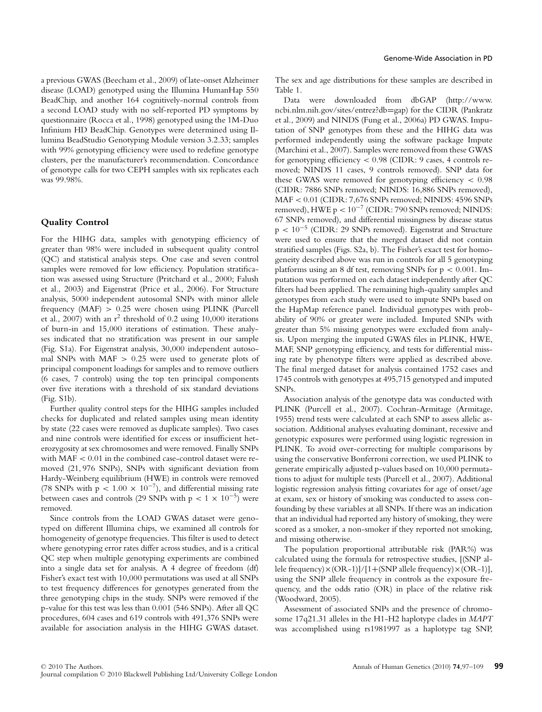a previous GWAS (Beecham et al., 2009) of late-onset Alzheimer disease (LOAD) genotyped using the Illumina HumanHap 550 BeadChip, and another 164 cognitively-normal controls from a second LOAD study with no self-reported PD symptoms by questionnaire (Rocca et al., 1998) genotyped using the 1M-Duo Infinium HD BeadChip. Genotypes were determined using Illumina BeadStudio Genotyping Module version 3.2.33; samples with 99% genotyping efficiency were used to redefine genotype clusters, per the manufacturer's recommendation. Concordance of genotype calls for two CEPH samples with six replicates each was 99.98%.

#### **Quality Control**

For the HIHG data, samples with genotyping efficiency of greater than 98% were included in subsequent quality control (QC) and statistical analysis steps. One case and seven control samples were removed for low efficiency. Population stratification was assessed using Structure (Pritchard et al., 2000; Falush et al., 2003) and Eigenstrat (Price et al., 2006). For Structure analysis, 5000 independent autosomal SNPs with minor allele frequency (MAF) > 0.25 were chosen using PLINK (Purcell et al., 2007) with an  $r^2$  threshold of 0.2 using 10,000 iterations of burn-in and 15,000 iterations of estimation. These analyses indicated that no stratification was present in our sample (Fig. S1a). For Eigenstrat analysis, 30,000 independent autosomal SNPs with MAF > 0.25 were used to generate plots of principal component loadings for samples and to remove outliers (6 cases, 7 controls) using the top ten principal components over five iterations with a threshold of six standard deviations (Fig. S1b).

Further quality control steps for the HIHG samples included checks for duplicated and related samples using mean identity by state (22 cases were removed as duplicate samples). Two cases and nine controls were identified for excess or insufficient heterozygosity at sex chromosomes and were removed. Finally SNPs with MAF < 0.01 in the combined case-control dataset were removed (21, 976 SNPs), SNPs with significant deviation from Hardy-Weinberg equilibrium (HWE) in controls were removed (78 SNPs with  $p < 1.00 \times 10^{-7}$ ), and differential missing rate between cases and controls (29 SNPs with  $p < 1 \times 10^{-5}$ ) were removed.

Since controls from the LOAD GWAS dataset were genotyped on different Illumina chips, we examined all controls for homogeneity of genotype frequencies. This filter is used to detect where genotyping error rates differ across studies, and is a critical QC step when multiple genotyping experiments are combined into a single data set for analysis. A 4 degree of freedom (df) Fisher's exact test with 10,000 permutations was used at all SNPs to test frequency differences for genotypes generated from the three genotyping chips in the study. SNPs were removed if the p-value for this test was less than 0.001 (546 SNPs). After all QC procedures, 604 cases and 619 controls with 491,376 SNPs were available for association analysis in the HIHG GWAS dataset. The sex and age distributions for these samples are described in Table 1.

Data were downloaded from dbGAP (http://www. ncbi.nlm.nih.gov/sites/entrez?db=gap) for the CIDR (Pankratz et al., 2009) and NINDS (Fung et al., 2006a) PD GWAS. Imputation of SNP genotypes from these and the HIHG data was performed independently using the software package Impute (Marchini et al., 2007). Samples were removed from these GWAS for genotyping efficiency  $< 0.98$  (CIDR: 9 cases, 4 controls removed; NINDS 11 cases, 9 controls removed). SNP data for these GWAS were removed for genotyping efficiency  $< 0.98$ (CIDR: 7886 SNPs removed; NINDS: 16,886 SNPs removed), MAF < 0.01 (CIDR: 7,676 SNPs removed; NINDS: 4596 SNPs removed), HWE  $p < 10^{-7}$  (CIDR: 790 SNPs removed; NINDS: 67 SNPs removed), and differential missingness by disease status p < 10−<sup>5</sup> (CIDR: 29 SNPs removed). Eigenstrat and Structure were used to ensure that the merged dataset did not contain stratified samples (Figs. S2a, b). The Fisher's exact test for homogeneity described above was run in controls for all 5 genotyping platforms using an 8 df test, removing SNPs for  $p < 0.001$ . Imputation was performed on each dataset independently after QC filters had been applied. The remaining high-quality samples and genotypes from each study were used to impute SNPs based on the HapMap reference panel. Individual genotypes with probability of 90% or greater were included. Imputed SNPs with greater than 5% missing genotypes were excluded from analysis. Upon merging the imputed GWAS files in PLINK, HWE, MAF, SNP genotyping efficiency, and tests for differential missing rate by phenotype filters were applied as described above. The final merged dataset for analysis contained 1752 cases and 1745 controls with genotypes at 495,715 genotyped and imputed SNPs.

Association analysis of the genotype data was conducted with PLINK (Purcell et al., 2007). Cochran-Armitage (Armitage, 1955) trend tests were calculated at each SNP to assess allelic association. Additional analyses evaluating dominant, recessive and genotypic exposures were performed using logistic regression in PLINK. To avoid over-correcting for multiple comparisons by using the conservative Bonferroni correction, we used PLINK to generate empirically adjusted p-values based on 10,000 permutations to adjust for multiple tests (Purcell et al., 2007). Additional logistic regression analysis fitting covariates for age of onset/age at exam, sex or history of smoking was conducted to assess confounding by these variables at all SNPs. If there was an indication that an individual had reported any history of smoking, they were scored as a smoker, a non-smoker if they reported not smoking, and missing otherwise.

The population proportional attributable risk (PAR%) was calculated using the formula for retrospective studies, [(SNP allele frequency) $\times (OR-1)/[1+(SNP$  allele frequency) $\times (OR-1)$ ], using the SNP allele frequency in controls as the exposure frequency, and the odds ratio (OR) in place of the relative risk (Woodward, 2005).

Assessment of associated SNPs and the presence of chromosome 17q21.31 alleles in the H1-H2 haplotype clades in *MAPT* was accomplished using rs1981997 as a haplotype tag SNP,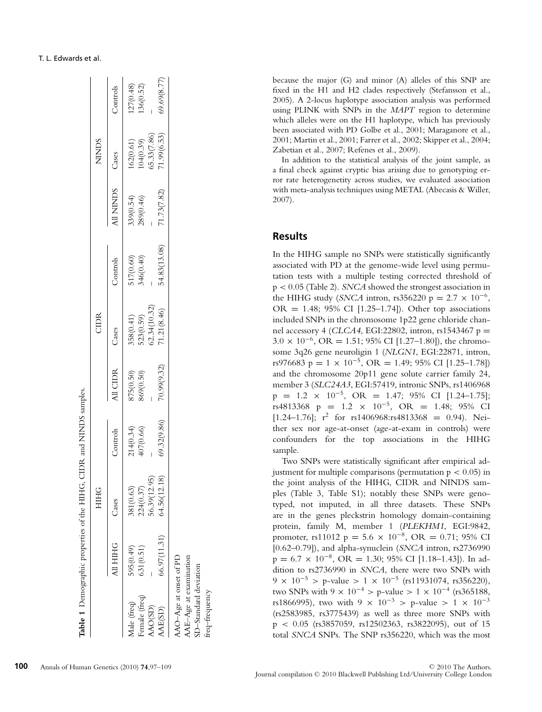|                        |              | HIHG         |             |             | CIDR         |              |                 | <b>NINDS</b>                                |             |
|------------------------|--------------|--------------|-------------|-------------|--------------|--------------|-----------------|---------------------------------------------|-------------|
|                        | All HIHG     | Cases        | Controls    | All CIDR    | Cases        | Controls     | All NINDS Cases |                                             | Controls    |
| Male (freq)            | 595(0.49)    | 381(0.63)    | 114(0.34)   | 875(0.50)   | 358(0.41)    | 517(0.60)    | 339(0.54)       |                                             | 127(0.48)   |
| Female (freq)          | 631(0.51)    | 224(0.37)    | 407(0.66)   | 869(0.50)   | 523(0.59)    | \$46(0.40)   | 289(0.46)       | $162(0.61)$<br>$104(0.39)$<br>$65.33(7.86)$ | 136(0.52)   |
| AAO(SD)                |              | 56.39(12.95) |             |             | 52.34(10.32) |              |                 |                                             |             |
| AAE(SD)                | 66.97(11.31) | 64.56(12.18) | 69.32(9.86) | 70.99(9.32) | 71.21(8.46)  | 54.83(13.08) | 71.73(7.82)     | 71.99(6.53)                                 | 69.69(8.77) |
| AAO-Age at onset of PD |              |              |             |             |              |              |                 |                                             |             |
| AAE-Age at examination |              |              |             |             |              |              |                 |                                             |             |
| SD-Standard deviation  |              |              |             |             |              |              |                 |                                             |             |

freq–frequency

req-frequency

because the major (G) and minor (A) alleles of this SNP are fixed in the H1 and H2 clades respectively (Stefansson et al., 2005). A 2-locus haplotype association analysis was performed using PLINK with SNPs in the *MAPT* region to determine which alleles were on the H1 haplotype, which has previously been associated with PD Golbe et al., 2001; Maraganore et al., 2001; Martin et al., 2001; Farrer et al., 2002; Skipper et al., 2004; Zabetian et al., 2007; Refenes et al., 2009).

In addition to the statistical analysis of the joint sample, as a final check against cryptic bias arising due to genotyping error rate heterogenetity across studies, we evaluated association with meta-analysis techniques using METAL (Abecasis & Willer, 2007).

## **Results**

In the HIHG sample no SNPs were statistically significantly associated with PD at the genome-wide level using permutation tests with a multiple testing corrected threshold of p < 0.05 (Table 2). *SNCA* showed the strongest association in the HIHG study (*SNCA* intron, rs356220 p =  $2.7 \times 10^{-6}$ , OR = 1.48; 95% CI [1.25–1.74]). Other top associations included SNPs in the chromosome 1p22 gene chloride channel accessory 4 (*CLCA4*, EGI:22802, intron, rs1543467 p =  $3.0 \times 10^{-6}$ , OR = 1.51; 95% CI [1.27–1.80]), the chromosome 3q26 gene neuroligin 1 (*NLGN1*, EGI:22871, intron, rs976683 p = 1 × 10<sup>-5</sup>, OR = 1.49; 95% CI [1.25–1.78]) and the chromosome 20p11 gene solute carrier family 24, member 3 (*SLC24A3*, EGI:57419, intronic SNPs, rs1406968  $p = 1.2 \times 10^{-5}$ , OR = 1.47; 95% CI [1.24–1.75]; rs4813368 p =  $1.2 \times 10^{-5}$ , OR = 1.48; 95% CI [1.24–1.76];  $r^2$  for rs1406968:rs4813368 = 0.94). Neither sex nor age-at-onset (age-at-exam in controls) were confounders for the top associations in the HIHG sample.

Two SNPs were statistically significant after empirical adjustment for multiple comparisons (permutation  $p < 0.05$ ) in the joint analysis of the HIHG, CIDR and NINDS samples (Table 3, Table S1); notably these SNPs were genotyped, not imputed, in all three datasets. These SNPs are in the genes pleckstrin homology domain-containing protein, family M, member 1 (*PLEKHM1*, EGI:9842, promoter, rs11012 p = 5.6  $\times$  10<sup>-8</sup>, OR = 0.71; 95% CI [0.62–0.79]), and alpha-synuclein (*SNCA* intron, rs2736990  $p = 6.7 \times 10^{-8}$ , OR = 1.30; 95% CI [1.18–1.43]). In addition to rs2736990 in *SNCA*, there were two SNPs with  $9 \times 10^{-5}$  > p-value > 1 × 10<sup>-5</sup> (rs11931074, rs356220), two SNPs with  $9 \times 10^{-4}$  > p-value >  $1 \times 10^{-4}$  (rs365188, rs1866995), two with 9  $\times$  10<sup>-3</sup> > p-value > 1  $\times$  10<sup>-3</sup> (rs2583985, rs3775439) as well as three more SNPs with p < 0.05 (rs3857059, rs12502363, rs3822095), out of 15 total *SNCA* SNPs. The SNP rs356220, which was the most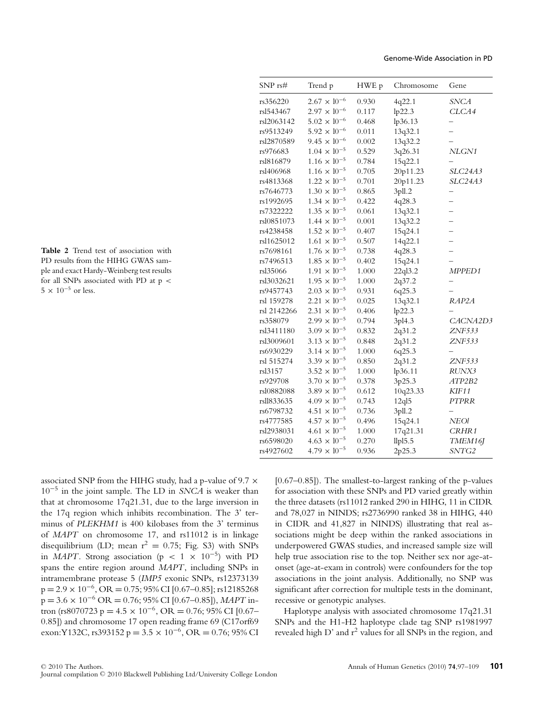Genome-Wide Association in PD

| $SNP$ rs#   | Trend p               | HWE p | Chromosome | Gene               |
|-------------|-----------------------|-------|------------|--------------------|
| rs356220    | $2.67 \times 10^{-6}$ | 0.930 | 4q22.1     | <b>SNCA</b>        |
| rsl543467   | $2.97 \times 10^{-6}$ | 0.117 | lp22.3     | CLCA4              |
| rsl2063142  | $5.02 \times 10^{-6}$ | 0.468 | lp36.13    |                    |
| rs9513249   | $5.92 \times 10^{-6}$ | 0.011 | 13q32.1    |                    |
| rsl2870589  | $9.45 \times 10^{-6}$ | 0.002 | 13q32.2    |                    |
| rs976683    | $1.04 \times 10^{-5}$ | 0.529 | 3q26.31    | NLGN1              |
| rsl816879   | $1.16 \times 10^{-5}$ | 0.784 | 15q22.1    |                    |
| rsl406968   | $1.16\times10^{-5}$   | 0.705 | 20p11.23   | SLC24A3            |
| rs4813368   | $1.22 \times 10^{-5}$ | 0.701 | 20p11.23   | SLC24A3            |
| rs7646773   | $1.30 \times 10^{-5}$ | 0.865 | 3pll.2     |                    |
| rs1992695   | $1.34 \times 10^{-5}$ | 0.422 | 4q28.3     |                    |
| rs7322222   | $1.35 \times 10^{-5}$ | 0.061 | 13q32.1    |                    |
| rsl0851073  | $1.44 \times 10^{-5}$ | 0.001 | 13q32.2    |                    |
| rs4238458   | $1.52 \times 10^{-5}$ | 0.407 | 15q24.1    |                    |
| rsl1625012  | $1.61 \times 10^{-5}$ | 0.507 | 14q22.1    |                    |
| rs7698161   | $1.76 \times 10^{-5}$ | 0.738 | 4q28.3     |                    |
| rs7496513   | $1.85 \times 10^{-5}$ | 0.402 | 15q24.1    |                    |
| rsl35066    | $1.91 \times 10^{-5}$ | 1.000 | 22ql3.2    | MPPED1             |
| rsl3032621  | $1.95 \times 10^{-5}$ | 1.000 | 2q37.2     |                    |
| rs9457743   | $2.03 \times 10^{-5}$ | 0.931 | 6q25.3     |                    |
| rsl 159278  | $2.21 \times 10^{-5}$ | 0.025 | 13q32.1    | RAP <sub>2</sub> A |
| rsl 2142266 | $2.31 \times 10^{-5}$ | 0.406 | lp22.3     |                    |
| rs358079    | $2.99 \times 10^{-5}$ | 0.794 | 3pl4.3     | CACNA2D3           |
| rsl3411180  | $3.09 \times 10^{-5}$ | 0.832 | 2q31.2     | ZNF533             |
| rsl3009601  | $3.13 \times 10^{-5}$ | 0.848 | 2q31.2     | ZNF533             |
| rs6930229   | $3.14 \times 10^{-5}$ | 1.000 | 6q25.3     |                    |
| rsl 515274  | $3.39 \times 10^{-5}$ | 0.850 | 2q31.2     | ZNF533             |
| rsl3157     | $3.52 \times 10^{-5}$ | 1.000 | lp36.11    | RUNX3              |
| rs929708    | $3.70 \times 10^{-5}$ | 0.378 | 3p25.3     | ATP2B2             |
| rsl0882088  | $3.89 \times 10^{-5}$ | 0.612 | 10q23.33   | KIF11              |
| rsll833635  | $4.09 \times 10^{-5}$ | 0.743 | 12q15      | PTPRR              |
| rs6798732   | $4.51 \times 10^{-5}$ | 0.736 | 3pll.2     |                    |
| rs4777585   | $4.57 \times 10^{-5}$ | 0.496 | 15q24.1    | <b>NEOl</b>        |
| rsl2938031  | $4.61 \times 10^{-5}$ | 1.000 | 17q21.31   | CRHR1              |
| rs6598020   | $4.63 \times 10^{-5}$ | 0.270 | llp15.5    | TMEM16J            |
| rs4927602   | $4.79 \times 10^{-5}$ | 0.936 | 2p25.3     | SNTG2              |

**Table 2** Trend test of association with PD results from the HIHG GWAS sample and exact Hardy-Weinberg test results for all SNPs associated with PD at p <  $5 \times 10^{-5}$  or less.

associated SNP from the HIHG study, had a p-value of 9.7 × 10−<sup>5</sup> in the joint sample. The LD in *SNCA* is weaker than that at chromosome 17q21.31, due to the large inversion in the 17q region which inhibits recombination. The 3' terminus of *PLEKHM1* is 400 kilobases from the 3' terminus of *MAPT* on chromosome 17, and rs11012 is in linkage disequilibrium (LD; mean  $r^2 = 0.75$ ; Fig. S3) with SNPs in *MAPT*. Strong association (p < 1 × 10<sup>-5</sup>) with PD spans the entire region around *MAPT*, including SNPs in intramembrane protease 5 (*IMP5* exonic SNPs, rs12373139  $p = 2.9 \times 10^{-6}$ , OR = 0.75; 95% CI [0.67–0.85]; rs12185268 p = 3.6 × 10−<sup>6</sup> OR = 0.76; 95% CI [0.67–0.85]), *MAPT* intron (rs8070723 p = 4.5 × 10<sup>-6</sup>, OR = 0.76; 95% CI [0.67– 0.85]) and chromosome 17 open reading frame 69 (C17orf69 exon:Y132C, rs393152 p =  $3.5 \times 10^{-6}$ , OR = 0.76; 95% CI [0.67–0.85]). The smallest-to-largest ranking of the p-values for association with these SNPs and PD varied greatly within the three datasets (rs11012 ranked 290 in HIHG, 11 in CIDR and 78,027 in NINDS; rs2736990 ranked 38 in HIHG, 440 in CIDR and 41,827 in NINDS) illustrating that real associations might be deep within the ranked associations in underpowered GWAS studies, and increased sample size will help true association rise to the top. Neither sex nor age-atonset (age-at-exam in controls) were confounders for the top associations in the joint analysis. Additionally, no SNP was significant after correction for multiple tests in the dominant, recessive or genotypic analyses.

Haplotype analysis with associated chromosome 17q21.31 SNPs and the H1-H2 haplotype clade tag SNP rs1981997 revealed high  $D'$  and  $r^2$  values for all SNPs in the region, and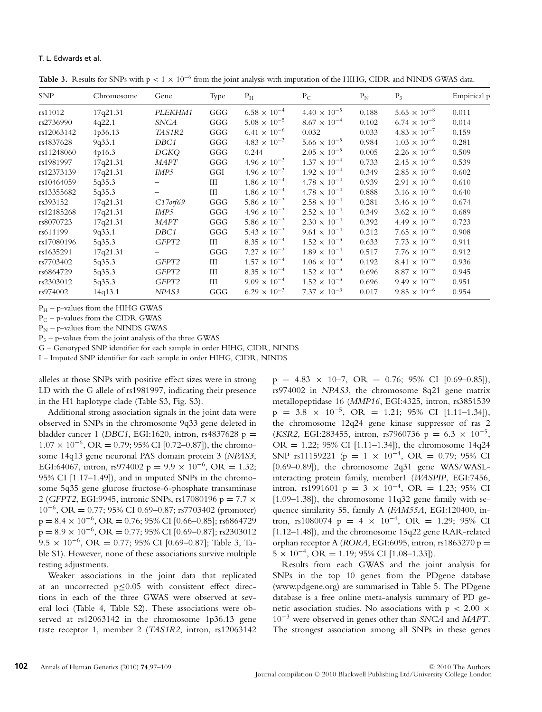**Table 3.** Results for SNPs with  $p < 1 \times 10^{-6}$  from the joint analysis with imputation of the HIHG, CIDR and NINDS GWAS data.

| <b>SNP</b> | Chromosome | Gene        | Type | $P_{H}$                   | $P_{C}$                 | $P_N$ | $P_3$                 | Empirical p |
|------------|------------|-------------|------|---------------------------|-------------------------|-------|-----------------------|-------------|
| rs11012    | 17q21.31   | PLEKHM1     | GGG  | $6.58 \times 10^{-4}$     | $4.40 \times 10^{-5}$   | 0.188 | $5.65 \times 10^{-8}$ | 0.011       |
| rs2736990  | 4q22.1     | <b>SNCA</b> | GGG  | $5.08 \times 10^{-5}$     | $8.67 \times 10^{-4}$   | 0.102 | $6.74 \times 10^{-8}$ | 0.014       |
| rs12063142 | 1p36.13    | TAS1R2      | GGG  | $6.41\times10^{-6}$       | 0.032                   | 0.033 | $4.83 \times 10^{-7}$ | 0.159       |
| rs4837628  | 9q33.1     | DBC1        | GGG  | $4.83 \times 10^{-3}$     | $5.66 \times 10^{-5}$   | 0.984 | $1.03 \times 10^{-6}$ | 0.281       |
| rs11248060 | 4p16.3     | DGKQ        | GGG  | 0.244                     | $2.05 \times 10^{-5}$   | 0.005 | $2.26 \times 10^{-6}$ | 0.509       |
| rs1981997  | 17q21.31   | <b>MAPT</b> | GGG  | $4.96 \times 10^{-3}$     | $1.37 \times 10^{-4}$   | 0.733 | $2.45 \times 10^{-6}$ | 0.539       |
| rs12373139 | 17q21.31   | IMP5        | GGI  | $4.96 \times 10^{-3}$     | $1.92 \times 10^{-4}$   | 0.349 | $2.85 \times 10^{-6}$ | 0.602       |
| rs10464059 | 5q35.3     |             | Ш    | $1.86\times10^{-4}$       | $4.78\,\times\,10^{-4}$ | 0.939 | $2.91\times10^{-6}$   | 0.610       |
| rs13355682 | 5q35.3     |             | Ш    | $1.86 \times 10^{-4}$     | $4.78 \times 10^{-4}$   | 0.888 | $3.16 \times 10^{-6}$ | 0.640       |
| rs393152   | 17q21.31   | $C17$ orf69 | GGG  | $5.86 \times 10^{-3}$     | $2.58 \times 10^{-4}$   | 0.281 | $3.46 \times 10^{-6}$ | 0.674       |
| rs12185268 | 17q21.31   | IMP5        | GGG  | $4.96 \times 10^{-3}$     | $2.52\times10^{-4}$     | 0.349 | $3.62 \times 10^{-6}$ | 0.689       |
| rs8070723  | 17q21.31   | <b>MAPT</b> | GGG  | $5.86 \times 10^{-3}$     | $2.30 \times 10^{-4}$   | 0.392 | $4.49 \times 10^{-6}$ | 0.723       |
| rs611199   | 9q33.1     | DBC1        | GGG  | $5.43 \times 10^{-3}$     | $9.61 \times 10^{-4}$   | 0.212 | $7.65 \times 10^{-6}$ | 0.908       |
| rs17080196 | 5q35.3     | GFPT2       | Ш    | $8.35 \times 10^{-4}$     | $1.52 \times 10^{-3}$   | 0.633 | $7.73 \times 10^{-6}$ | 0.911       |
| rs1635291  | 17q21.31   |             | GGG  | $7.27 \times 10^{-3}$     | $1.89\times10^{-4}$     | 0.517 | $7.76 \times 10^{-6}$ | 0.912       |
| rs7703402  | 5q35.3     | GFPT2       | Ш    | $1.57$ $\times$ $10^{-4}$ | $1.06 \times 10^{-3}$   | 0.192 | $8.41\times10^{-6}$   | 0.936       |
| rs6864729  | 5q35.3     | GFPT2       | III  | $8.35 \times 10^{-4}$     | $1.52 \times 10^{-3}$   | 0.696 | $8.87 \times 10^{-6}$ | 0.945       |
| rs2303012  | 5q35.3     | GFPT2       | Ш    | $9.09 \times 10^{-4}$     | $1.52 \times 10^{-3}$   | 0.696 | $9.49 \times 10^{-6}$ | 0.951       |
| rs974002   | 14q13.1    | NPAS3       | GGG  | $6.29 \times 10^{-3}$     | $7.37 \times 10^{-3}$   | 0.017 | $9.85 \times 10^{-6}$ | 0.954       |

 $P_H$  – p-values from the HIHG GWAS

 $P_C$  – p-values from the CIDR GWAS

 $P_N$  – p-values from the NINDS GWAS

 $P_3$  – p-values from the joint analysis of the three GWAS

G – Genotyped SNP identifier for each sample in order HIHG, CIDR, NINDS

I – Imputed SNP identifier for each sample in order HIHG, CIDR, NINDS

alleles at those SNPs with positive effect sizes were in strong LD with the G allele of rs1981997, indicating their presence in the H1 haplotype clade (Table S3, Fig. S3).

Additional strong association signals in the joint data were observed in SNPs in the chromosome 9q33 gene deleted in bladder cancer 1 (*DBC1*, EGI:1620, intron, rs4837628  $p =$  $1.07 \times 10^{-6}$ , OR = 0.79; 95% CI [0.72–0.87]), the chromosome 14q13 gene neuronal PAS domain protein 3 (*NPAS3*, EGI:64067, intron, rs974002 p =  $9.9 \times 10^{-6}$ , OR = 1.32; 95% CI [1.17–1.49]), and in imputed SNPs in the chromosome 5q35 gene glucose fructose-6-phosphate transaminase 2 (*GFPT2*, EGI:9945, intronic SNPs, rs17080196 p = 7.7 ×  $10^{-6}$ , OR = 0.77; 95% CI 0.69–0.87; rs7703402 (promoter)  $p = 8.4 \times 10^{-6}$ , OR = 0.76; 95% CI [0.66–0.85]; rs6864729 p = 8.9 × 10−6, OR = 0.77; 95% CI [0.69–0.87]; rs2303012  $9.5 \times 10^{-6}$ , OR = 0.77; 95% CI [0.69–0.87]; Table 3, Table S1). However, none of these associations survive multiple testing adjustments.

Weaker associations in the joint data that replicated at an uncorrected  $p \le 0.05$  with consistent effect directions in each of the three GWAS were observed at several loci (Table 4, Table S2). These associations were observed at rs12063142 in the chromosome 1p36.13 gene taste receptor 1, member 2 (*TAS1R2*, intron, rs12063142  $p = 4.83 \times 10^{-7}$ , OR = 0.76; 95% CI [0.69-0.85]), rs974002 in *NPAS3*, the chromosome 8q21 gene matrix metallopeptidase 16 (*MMP16*, EGI:4325, intron, rs3851539  $p = 3.8 \times 10^{-5}$ , OR = 1.21; 95% CI [1.11–1.34]), the chromosome 12q24 gene kinase suppressor of ras 2 (*KSR2*, EGI:283455, intron, rs7960736 p = 6.3  $\times$  10<sup>-5</sup>, OR = 1.22; 95% CI [1.11–1.34]), the chromosome 14q24 SNP rs11159221 (p = 1 × 10<sup>-4</sup>, OR = 0.79; 95% CI [0.69–0.89]), the chromosome 2q31 gene WAS/WASLinteracting protein family, member1 (*WASPIP*, EGI:7456, intron, rs1991601 p =  $3 \times 10^{-4}$ , OR = 1.23; 95% CI  $[1.09-1.38]$ , the chromosome  $11q32$  gene family with sequence similarity 55, family A (*FAM55A*, EGI:120400, intron, rs1080074 p = 4 × 10<sup>-4</sup>, OR = 1.29; 95% CI [1.12–1.48]), and the chromosome 15q22 gene RAR-related orphan receptor A ( $RORA$ , EGI:6095, intron, rs1863270 p =  $5 \times 10^{-4}$ , OR = 1.19; 95% CI [1.08–1.33]).

Results from each GWAS and the joint analysis for SNPs in the top 10 genes from the PDgene database (www.pdgene.org) are summarised in Table 5. The PDgene database is a free online meta-analysis summary of PD genetic association studies. No associations with  $p < 2.00 \times$ 10−<sup>3</sup> were observed in genes other than *SNCA* and *MAPT*. The strongest association among all SNPs in these genes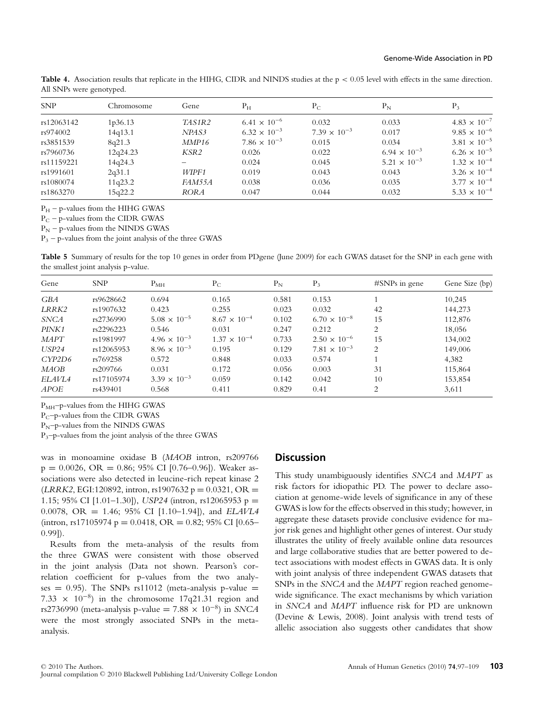| <b>SNP</b> | Chromosome | Gene          | $P_{H}$                        | $P_{C}$               | $P_N$                 | $P_3$                 |
|------------|------------|---------------|--------------------------------|-----------------------|-----------------------|-----------------------|
| rs12063142 | 1p36.13    | TAS1R2        | $6.41 \times 10^{-6}$          | 0.032                 | 0.033                 | $4.83 \times 10^{-7}$ |
| rs974002   | 14q13.1    | NPAS3         | $6.32 \times 10^{-3}$          | $7.39 \times 10^{-3}$ | 0.017                 | $9.85 \times 10^{-6}$ |
| rs3851539  | 8q21.3     | MMP16         | 7.86 $\times$ 10 <sup>-3</sup> | 0.015                 | 0.034                 | $3.81 \times 10^{-5}$ |
| rs7960736  | 12q24.23   | KSR2          | 0.026                          | 0.022                 | $6.94 \times 10^{-3}$ | $6.26 \times 10^{-5}$ |
| rs11159221 | 14q24.3    |               | 0.024                          | 0.045                 | $5.21 \times 10^{-3}$ | $1.32 \times 10^{-4}$ |
| rs1991601  | 2q31.1     | WIPF1         | 0.019                          | 0.043                 | 0.043                 | $3.26 \times 10^{-4}$ |
| rs1080074  | 11q23.2    | <i>FAM55A</i> | 0.038                          | 0.036                 | 0.035                 | $3.77 \times 10^{-4}$ |
| rs1863270  | 15q22.2    | <i>RORA</i>   | 0.047                          | 0.044                 | 0.032                 | $5.33 \times 10^{-4}$ |

Table 4. Association results that replicate in the HIHG, CIDR and NINDS studies at the p < 0.05 level with effects in the same direction. All SNPs were genotyped.

 $P_H$  – p-values from the HIHG GWAS

 $P_C$  – p-values from the CIDR GWAS

 $P_N$  – p-values from the NINDS GWAS

 $P_3$  – p-values from the joint analysis of the three GWAS

**Table 5** Summary of results for the top 10 genes in order from PDgene (June 2009) for each GWAS dataset for the SNP in each gene with the smallest joint analysis p-value.

| Gene        | <b>SNP</b> | $P_{MH}$              | $P_{C}$               | $P_N$ | $P_3$                          | $#SNPs$ in gene | Gene Size (bp) |
|-------------|------------|-----------------------|-----------------------|-------|--------------------------------|-----------------|----------------|
| GBA         | rs9628662  | 0.694                 | 0.165                 | 0.581 | 0.153                          |                 | 10,245         |
| LRRK2       | rs1907632  | 0.423                 | 0.255                 | 0.023 | 0.032                          | 42              | 144,273        |
| SNCA        | rs2736990  | $5.08 \times 10^{-5}$ | $8.67 \times 10^{-4}$ | 0.102 | $6.70 \times 10^{-8}$          | 15              | 112,876        |
| PINK1       | rs2296223  | 0.546                 | 0.031                 | 0.247 | 0.212                          | $\overline{c}$  | 18,056         |
| <b>MAPT</b> | rs1981997  | $4.96 \times 10^{-3}$ | $1.37 \times 10^{-4}$ | 0.733 | $2.50 \times 10^{-6}$          | 15              | 134,002        |
| USP24       | rs12065953 | $8.96 \times 10^{-3}$ | 0.195                 | 0.129 | 7.81 $\times$ 10 <sup>-3</sup> | $\overline{c}$  | 149,006        |
| CYP2D6      | rs769258   | 0.572                 | 0.848                 | 0.033 | 0.574                          |                 | 4,382          |
| <b>MAOB</b> | rs209766   | 0.031                 | 0.172                 | 0.056 | 0.003                          | 31              | 115,864        |
| ELAVL4      | rs17105974 | $3.39 \times 10^{-3}$ | 0.059                 | 0.142 | 0.042                          | 10              | 153,854        |
| APOE        | rs439401   | 0.568                 | 0.411                 | 0.829 | 0.41                           | 2               | 3,611          |

 $P<sub>MH</sub>-p-values$  from the HIHG GWAS

 $P_C$ –p-values from the CIDR GWAS

 $P_N$ –p-values from the NINDS GWAS

P3–p-values from the joint analysis of the three GWAS

was in monoamine oxidase B (*MAOB* intron, rs209766  $p = 0.0026$ , OR = 0.86; 95% CI [0.76–0.96]). Weaker associations were also detected in leucine-rich repeat kinase 2  $(LRRK2, EGI:120892, intron, rs1907632 p = 0.0321, OR =$ 1.15; 95% CI  $[1.01-1.30]$ , *USP24* (intron, rs12065953 p = 0.0078, OR = 1.46; 95% CI [1.10–1.94]), and *ELAVL4* (intron, rs17105974 p = 0.0418, OR = 0.82; 95% CI [0.65– 0.99]).

Results from the meta-analysis of the results from the three GWAS were consistent with those observed in the joint analysis (Data not shown. Pearson's correlation coefficient for p-values from the two analyses = 0.95). The SNPs  $rs11012$  (meta-analysis p-value = 7.33  $\times$  10<sup>-8</sup>) in the chromosome 17q21.31 region and rs2736990 (meta-analysis p-value = 7.88 × 10−8) in *SNCA* were the most strongly associated SNPs in the metaanalysis.

## **Discussion**

This study unambiguously identifies *SNCA* and *MAPT* as risk factors for idiopathic PD. The power to declare association at genome-wide levels of significance in any of these GWAS is low for the effects observed in this study; however, in aggregate these datasets provide conclusive evidence for major risk genes and highlight other genes of interest. Our study illustrates the utility of freely available online data resources and large collaborative studies that are better powered to detect associations with modest effects in GWAS data. It is only with joint analysis of three independent GWAS datasets that SNPs in the *SNCA* and the *MAPT* region reached genomewide significance. The exact mechanisms by which variation in *SNCA* and *MAPT* influence risk for PD are unknown (Devine & Lewis, 2008). Joint analysis with trend tests of allelic association also suggests other candidates that show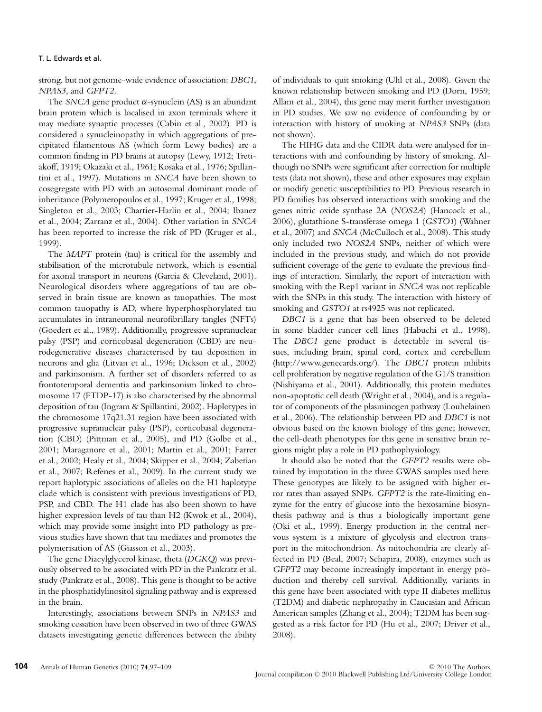#### T. L. Edwards et al.

strong, but not genome-wide evidence of association: *DBC1*, *NPAS3*, and *GFPT2*.

The *SNCA* gene product  $\alpha$ -synuclein (AS) is an abundant brain protein which is localised in axon terminals where it may mediate synaptic processes (Cabin et al., 2002). PD is considered a synucleinopathy in which aggregations of precipitated filamentous AS (which form Lewy bodies) are a common finding in PD brains at autopsy (Lewy, 1912; Tretiakoff, 1919; Okazaki et al., 1961; Kosaka et al., 1976; Spillantini et al., 1997). Mutations in *SNCA* have been shown to cosegregate with PD with an autosomal dominant mode of inheritance (Polymeropoulos et al., 1997; Kruger et al., 1998; Singleton et al., 2003; Chartier-Harlin et al., 2004; Ibanez et al., 2004; Zarranz et al., 2004). Other variation in *SNCA* has been reported to increase the risk of PD (Kruger et al., 1999).

The *MAPT* protein (tau) is critical for the assembly and stabilisation of the microtubule network, which is essential for axonal transport in neurons (Garcia & Cleveland, 2001). Neurological disorders where aggregations of tau are observed in brain tissue are known as tauopathies. The most common tauopathy is AD, where hyperphosphorylated tau accumulates in intraneuronal neurofibrillary tangles (NFTs) (Goedert et al., 1989). Additionally, progressive supranuclear palsy (PSP) and corticobasal degeneration (CBD) are neurodegenerative diseases characterised by tau deposition in neurons and glia (Litvan et al., 1996; Dickson et al., 2002) and parkinsonism. A further set of disorders referred to as frontotemporal dementia and parkinsonism linked to chromosome 17 (FTDP-17) is also characterised by the abnormal deposition of tau (Ingram & Spillantini, 2002). Haplotypes in the chromosome 17q21.31 region have been associated with progressive supranuclear palsy (PSP), corticobasal degeneration (CBD) (Pittman et al., 2005), and PD (Golbe et al., 2001; Maraganore et al., 2001; Martin et al., 2001; Farrer et al., 2002; Healy et al., 2004; Skipper et al., 2004; Zabetian et al., 2007; Refenes et al., 2009). In the current study we report haplotypic associations of alleles on the H1 haplotype clade which is consistent with previous investigations of PD, PSP, and CBD. The H1 clade has also been shown to have higher expression levels of tau than H2 (Kwok et al., 2004), which may provide some insight into PD pathology as previous studies have shown that tau mediates and promotes the polymerisation of AS (Giasson et al., 2003).

The gene Diacylglycerol kinase, theta (*DGKQ*) was previously observed to be associated with PD in the Pankratz et al. study (Pankratz et al., 2008). This gene is thought to be active in the phosphatidylinositol signaling pathway and is expressed in the brain.

Interestingly, associations between SNPs in *NPAS3* and smoking cessation have been observed in two of three GWAS datasets investigating genetic differences between the ability of individuals to quit smoking (Uhl et al., 2008). Given the known relationship between smoking and PD (Dorn, 1959; Allam et al., 2004), this gene may merit further investigation in PD studies. We saw no evidence of confounding by or interaction with history of smoking at *NPAS3* SNPs (data not shown).

The HIHG data and the CIDR data were analysed for interactions with and confounding by history of smoking. Although no SNPs were significant after correction for multiple tests (data not shown), these and other exposures may explain or modify genetic susceptibilities to PD. Previous research in PD families has observed interactions with smoking and the genes nitric oxide synthase 2A (*NOS2A*) (Hancock et al., 2006), glutathione S-transferase omega 1 (*GSTO1*) (Wahner et al., 2007) and *SNCA* (McCulloch et al., 2008). This study only included two *NOS2A* SNPs, neither of which were included in the previous study, and which do not provide sufficient coverage of the gene to evaluate the previous findings of interaction. Similarly, the report of interaction with smoking with the Rep1 variant in *SNCA* was not replicable with the SNPs in this study. The interaction with history of smoking and *GSTO1* at rs4925 was not replicated.

*DBC1* is a gene that has been observed to be deleted in some bladder cancer cell lines (Habuchi et al., 1998). The *DBC1* gene product is detectable in several tissues, including brain, spinal cord, cortex and cerebellum (http://www.genecards.org/). The *DBC1* protein inhibits cell proliferation by negative regulation of the G1/S transition (Nishiyama et al., 2001). Additionally, this protein mediates non-apoptotic cell death (Wright et al., 2004), and is a regulator of components of the plasminogen pathway (Louhelainen et al., 2006). The relationship between PD and *DBC1* is not obvious based on the known biology of this gene; however, the cell-death phenotypes for this gene in sensitive brain regions might play a role in PD pathophysiology.

It should also be noted that the *GFPT2* results were obtained by imputation in the three GWAS samples used here. These genotypes are likely to be assigned with higher error rates than assayed SNPs. *GFPT2* is the rate-limiting enzyme for the entry of glucose into the hexosamine biosynthesis pathway and is thus a biologically important gene (Oki et al., 1999). Energy production in the central nervous system is a mixture of glycolysis and electron transport in the mitochondrion. As mitochondria are clearly affected in PD (Beal, 2007; Schapira, 2008), enzymes such as *GFPT2* may become increasingly important in energy production and thereby cell survival. Additionally, variants in this gene have been associated with type II diabetes mellitus (T2DM) and diabetic nephropathy in Caucasian and African American samples (Zhang et al., 2004); T2DM has been suggested as a risk factor for PD (Hu et al., 2007; Driver et al., 2008).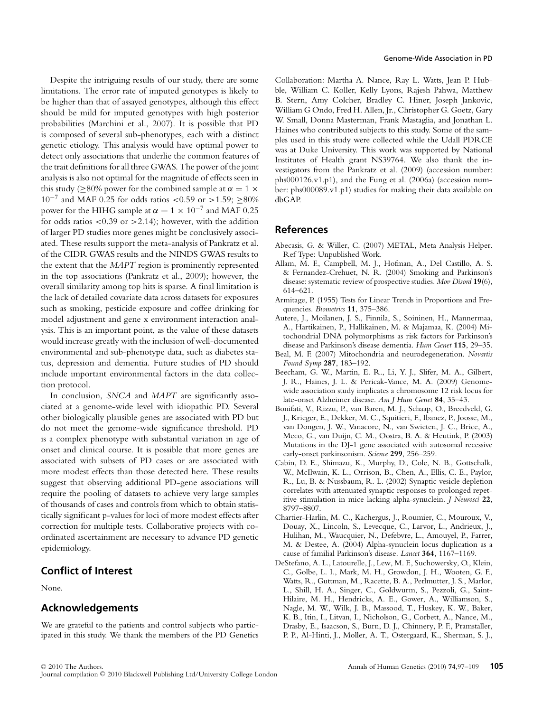Despite the intriguing results of our study, there are some limitations. The error rate of imputed genotypes is likely to be higher than that of assayed genotypes, although this effect should be mild for imputed genotypes with high posterior probabilities (Marchini et al., 2007). It is possible that PD is composed of several sub-phenotypes, each with a distinct genetic etiology. This analysis would have optimal power to detect only associations that underlie the common features of the trait definitions for all three GWAS. The power of the joint analysis is also not optimal for the magnitude of effects seen in this study ( $>80\%$  power for the combined sample at  $\alpha = 1 \times$ 10<sup>-7</sup> and MAF 0.25 for odds ratios <0.59 or >1.59; >80% power for the HIHG sample at  $\alpha = 1 \times 10^{-7}$  and MAF 0.25 for odds ratios  $\langle 0.39 \text{ or } 2.14 \rangle$ ; however, with the addition of larger PD studies more genes might be conclusively associated. These results support the meta-analysis of Pankratz et al. of the CIDR GWAS results and the NINDS GWAS results to the extent that the *MAPT* region is prominently represented in the top associations (Pankratz et al., 2009); however, the overall similarity among top hits is sparse. A final limitation is the lack of detailed covariate data across datasets for exposures such as smoking, pesticide exposure and coffee drinking for model adjustment and gene x environment interaction analysis. This is an important point, as the value of these datasets would increase greatly with the inclusion of well-documented environmental and sub-phenotype data, such as diabetes status, depression and dementia. Future studies of PD should include important environmental factors in the data collection protocol.

In conclusion, *SNCA* and *MAPT* are significantly associated at a genome-wide level with idiopathic PD. Several other biologically plausible genes are associated with PD but do not meet the genome-wide significance threshold. PD is a complex phenotype with substantial variation in age of onset and clinical course. It is possible that more genes are associated with subsets of PD cases or are associated with more modest effects than those detected here. These results suggest that observing additional PD-gene associations will require the pooling of datasets to achieve very large samples of thousands of cases and controls from which to obtain statistically significant p-values for loci of more modest effects after correction for multiple tests. Collaborative projects with coordinated ascertainment are necessary to advance PD genetic epidemiology.

## **Conflict of Interest**

None.

## **Acknowledgements**

We are grateful to the patients and control subjects who participated in this study. We thank the members of the PD Genetics Collaboration: Martha A. Nance, Ray L. Watts, Jean P. Hubble, William C. Koller, Kelly Lyons, Rajesh Pahwa, Matthew B. Stern, Amy Colcher, Bradley C. Hiner, Joseph Jankovic, William G Ondo, Fred H. Allen, Jr., Christopher G. Goetz, Gary W. Small, Donna Masterman, Frank Mastaglia, and Jonathan L. Haines who contributed subjects to this study. Some of the samples used in this study were collected while the Udall PDRCE was at Duke University. This work was supported by National Institutes of Health grant NS39764. We also thank the investigators from the Pankratz et al. (2009) (accession number: phs000126.v1.p1), and the Fung et al. (2006a) (accession number: phs000089.v1.p1) studies for making their data available on dbGAP.

### **References**

- Abecasis, G. & Willer, C. (2007) METAL, Meta Analysis Helper. Ref Type: Unpublished Work.
- Allam, M. F., Campbell, M. J., Hofman, A., Del Castillo, A. S. & Fernandez-Crehuet, N. R. (2004) Smoking and Parkinson's disease: systematic review of prospective studies. *Mov Disord* **19**(6), 614–621.
- Armitage, P. (1955) Tests for Linear Trends in Proportions and Frequencies. *Biometrics* **11**, 375–386.
- Autere, J., Moilanen, J. S., Finnila, S., Soininen, H., Mannermaa, A., Hartikainen, P., Hallikainen, M. & Majamaa, K. (2004) Mitochondrial DNA polymorphisms as risk factors for Parkinson's disease and Parkinson's disease dementia. *Hum Genet* **115**, 29–35.
- Beal, M. F. (2007) Mitochondria and neurodegeneration. *Novartis Found Symp* **287**, 183–192.
- Beecham, G. W., Martin, E. R., Li, Y. J., Slifer, M. A., Gilbert, J. R., Haines, J. L. & Pericak-Vance, M. A. (2009) Genomewide association study implicates a chromosome 12 risk locus for late-onset Alzheimer disease. *Am J Hum Genet* **84**, 35–43.
- Bonifati, V., Rizzu, P., van Baren, M. J., Schaap, O., Breedveld, G. J., Krieger, E., Dekker, M. C., Squitieri, F., Ibanez, P., Joosse, M., van Dongen, J. W., Vanacore, N., van Swieten, J. C., Brice, A., Meco, G., van Duijn, C. M., Oostra, B. A. & Heutink, P. (2003) Mutations in the DJ-1 gene associated with autosomal recessive early-onset parkinsonism. *Science* **299**, 256–259.
- Cabin, D. E., Shimazu, K., Murphy, D., Cole, N. B., Gottschalk, W., McIlwain, K. L., Orrison, B., Chen, A., Ellis, C. E., Paylor, R., Lu, B. & Nussbaum, R. L. (2002) Synaptic vesicle depletion correlates with attenuated synaptic responses to prolonged repetitive stimulation in mice lacking alpha-synuclein. *J Neurosci* **22**, 8797–8807.
- Chartier-Harlin, M. C., Kachergus, J., Roumier, C., Mouroux, V., Douay, X., Lincoln, S., Levecque, C., Larvor, L., Andrieux, J., Hulihan, M., Waucquier, N., Defebvre, L., Amouyel, P., Farrer, M. & Destee, A. (2004) Alpha-synuclein locus duplication as a cause of familial Parkinson's disease. *Lancet* **364**, 1167–1169.
- DeStefano, A. L., Latourelle, J., Lew, M. F., Suchowersky, O., Klein, C., Golbe, L. I., Mark, M. H., Growdon, J. H., Wooten, G. F., Watts, R., Guttman, M., Racette, B. A., Perlmutter, J. S., Marlor, L., Shill, H. A., Singer, C., Goldwurm, S., Pezzoli, G., Saint-Hilaire, M. H., Hendricks, A. E., Gower, A., Williamson, S., Nagle, M. W., Wilk, J. B., Massood, T., Huskey, K. W., Baker, K. B., Itin, I., Litvan, I., Nicholson, G., Corbett, A., Nance, M., Drasby, E., Isaacson, S., Burn, D. J., Chinnery, P. F., Pramstaller, P. P., Al-Hinti, J., Moller, A. T., Ostergaard, K., Sherman, S. J.,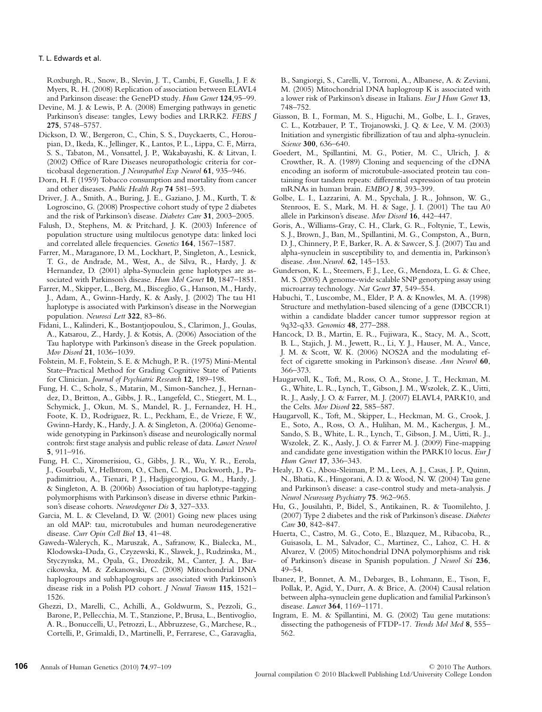#### T. L. Edwards et al.

Roxburgh, R., Snow, B., Slevin, J. T., Cambi, F., Gusella, J. F. & Myers, R. H. (2008) Replication of association between ELAVL4 and Parkinson disease: the GenePD study. *Hum Genet* **124**,95–99.

- Devine, M. J. & Lewis, P. A. (2008) Emerging pathways in genetic Parkinson's disease: tangles, Lewy bodies and LRRK2. *FEBS J* **275**, 5748–5757.
- Dickson, D. W., Bergeron, C., Chin, S. S., Duyckaerts, C., Horoupian, D., Ikeda, K., Jellinger, K., Lantos, P. L., Lippa, C. F., Mirra, S. S., Tabaton, M., Vonsattel, J. P., Wakabayashi, K. & Litvan, I. (2002) Office of Rare Diseases neuropathologic criteria for corticobasal degeneration. *J Neuropathol Exp Neurol* **61**, 935–946.
- Dorn, H. F. (1959) Tobacco consumption and mortality from cancer and other diseases. *Public Health Rep* **74** 581–593.
- Driver, J. A., Smith, A., Buring, J. E., Gaziano, J. M., Kurth, T. & Logroscino, G. (2008) Prospective cohort study of type 2 diabetes and the risk of Parkinson's disease. *Diabetes Care* **31**, 2003–2005.
- Falush, D., Stephens, M. & Pritchard, J. K. (2003) Inference of population structure using multilocus genotype data: linked loci and correlated allele frequencies. *Genetics* **164**, 1567–1587.
- Farrer, M., Maraganore, D. M., Lockhart, P., Singleton, A., Lesnick, T. G., de Andrade, M., West, A., de Silva, R., Hardy, J. & Hernandez, D. (2001) alpha-Synuclein gene haplotypes are associated with Parkinson's disease. *Hum Mol Genet* **10**, 1847–1851.
- Farrer, M., Skipper, L., Berg, M., Bisceglio, G., Hanson, M., Hardy, J., Adam, A., Gwinn-Hardy, K. & Aasly, J. (2002) The tau H1 haplotype is associated with Parkinson's disease in the Norwegian population. *Neurosci Lett* **322**, 83–86.
- Fidani, L., Kalinderi, K., Bostantjopoulou, S., Clarimon, J., Goulas, A., Katsarou, Z., Hardy, J. & Kotsis, A. (2006) Association of the Tau haplotype with Parkinson's disease in the Greek population. *Mov Disord* **21**, 1036–1039.
- Folstein, M. F., Folstein, S. E. & Mchugh, P. R. (1975) Mini-Mental State–Practical Method for Grading Cognitive State of Patients for Clinician. *Journal of Psychiatric Research* **12**, 189–198.
- Fung, H. C., Scholz, S., Matarin, M., Simon-Sanchez, J., Hernandez, D., Britton, A., Gibbs, J. R., Langefeld, C., Stiegert, M. L., Schymick, J., Okun, M. S., Mandel, R. J., Fernandez, H. H., Foote, K. D., Rodriguez, R. L., Peckham, E., de Vrieze, F. W., Gwinn-Hardy, K., Hardy, J. A. & Singleton, A. (2006a) Genomewide genotyping in Parkinson's disease and neurologically normal controls: first stage analysis and public release of data. *Lancet Neurol* **5**, 911–916.
- Fung, H. C., Xiromerisiou, G., Gibbs, J. R., Wu, Y. R., Eerola, J., Gourbali, V., Hellstrom, O., Chen, C. M., Duckworth, J., Papadimitriou, A., Tienari, P. J., Hadjigeorgiou, G. M., Hardy, J. & Singleton, A. B. (2006b) Association of tau haplotype-tagging polymorphisms with Parkinson's disease in diverse ethnic Parkinson's disease cohorts. *Neurodegener Dis* **3**, 327–333.
- Garcia, M. L. & Cleveland, D. W. (2001) Going new places using an old MAP: tau, microtubules and human neurodegenerative disease. *Curr Opin Cell Biol* **13**, 41–48.
- Gaweda-Walerych, K., Maruszak, A., Safranow, K., Bialecka, M., Klodowska-Duda, G., Czyzewski, K., Slawek, J., Rudzinska, M., Styczynska, M., Opala, G., Drozdzik, M., Canter, J. A., Barcikowska, M. & Zekanowski, C. (2008) Mitochondrial DNA haplogroups and subhaplogroups are associated with Parkinson's disease risk in a Polish PD cohort. *J Neural Transm* **115**, 1521– 1526.
- Ghezzi, D., Marelli, C., Achilli, A., Goldwurm, S., Pezzoli, G., Barone, P., Pellecchia, M. T., Stanzione, P., Brusa, L., Bentivoglio, A. R., Bonuccelli, U., Petrozzi, L., Abbruzzese, G., Marchese, R., Cortelli, P., Grimaldi, D., Martinelli, P., Ferrarese, C., Garavaglia,

B., Sangiorgi, S., Carelli, V., Torroni, A., Albanese, A. & Zeviani, M. (2005) Mitochondrial DNA haplogroup K is associated with a lower risk of Parkinson's disease in Italians. *Eur J Hum Genet* **13**, 748–752.

- Giasson, B. I., Forman, M. S., Higuchi, M., Golbe, L. I., Graves, C. L., Kotzbauer, P. T., Trojanowski, J. Q. & Lee, V. M. (2003) Initiation and synergistic fibrillization of tau and alpha-synuclein. *Science* **300**, 636–640.
- Goedert, M., Spillantini, M. G., Potier, M. C., Ulrich, J. & Crowther, R. A. (1989) Cloning and sequencing of the cDNA encoding an isoform of microtubule-associated protein tau containing four tandem repeats: differential expression of tau protein mRNAs in human brain. *EMBO J* **8**, 393–399.
- Golbe, L. I., Lazzarini, A. M., Spychala, J. R., Johnson, W. G., Stenroos, E. S., Mark, M. H. & Sage, J. I. (2001) The tau A0 allele in Parkinson's disease. *Mov Disord* **16**, 442–447.
- Goris, A., Williams-Gray, C. H., Clark, G. R., Foltynie, T., Lewis, S. J., Brown, J., Ban, M., Spillantini, M. G., Compston, A., Burn, D. J., Chinnery, P. F., Barker, R. A. & Sawcer, S. J. (2007) Tau and alpha-synuclein in susceptibility to, and dementia in, Parkinson's disease. *Ann.Neurol.* **62**, 145–153.
- Gunderson, K. L., Steemers, F. J., Lee, G., Mendoza, L. G. & Chee, M. S. (2005) A genome-wide scalable SNP genotyping assay using microarray technology. *Nat Genet* **37**, 549–554.
- Habuchi, T., Luscombe, M., Elder, P. A. & Knowles, M. A. (1998) Structure and methylation-based silencing of a gene (DBCCR1) within a candidate bladder cancer tumor suppressor region at 9q32-q33. *Genomics* **48**, 277–288.
- Hancock, D. B., Martin, E. R., Fujiwara, K., Stacy, M. A., Scott, B. L., Stajich, J. M., Jewett, R., Li, Y. J., Hauser, M. A., Vance, J. M. & Scott, W. K. (2006) NOS2A and the modulating effect of cigarette smoking in Parkinson's disease. *Ann Neurol* **60**, 366–373.
- Haugarvoll, K., Toft, M., Ross, O. A., Stone, J. T., Heckman, M. G., White, L. R., Lynch, T., Gibson, J. M., Wszolek, Z. K., Uitti, R. J., Aasly, J. O. & Farrer, M. J. (2007) ELAVL4, PARK10, and the Celts. *Mov Disord* **22**, 585–587.
- Haugarvoll, K., Toft, M., Skipper, L., Heckman, M. G., Crook, J. E., Soto, A., Ross, O. A., Hulihan, M. M., Kachergus, J. M., Sando, S. B., White, L. R., Lynch, T., Gibson, J. M., Uitti, R. J., Wszolek, Z. K., Aasly, J. O. & Farrer M. J. (2009) Fine-mapping and candidate gene investigation within the PARK10 locus. *Eur J Hum Genet* **17**, 336–343.
- Healy, D. G., Abou-Sleiman, P. M., Lees, A. J., Casas, J. P., Quinn, N., Bhatia, K., Hingorani, A. D. & Wood, N. W. (2004) Tau gene and Parkinson's disease: a case-control study and meta-analysis. *J Neurol Neurosurg Psychiatry* **75**. 962–965.
- Hu, G., Jousilahti, P., Bidel, S., Antikainen, R. & Tuomilehto, J. (2007) Type 2 diabetes and the risk of Parkinson's disease. *Diabetes Care* **30**, 842–847.
- Huerta, C., Castro, M. G., Coto, E., Blazquez, M., Ribacoba, R., Guisasola, L. M., Salvador, C., Martinez, C., Lahoz, C. H. & Alvarez, V. (2005) Mitochondrial DNA polymorphisms and risk of Parkinson's disease in Spanish population. *J Neurol Sci* **236**, 49–54.
- Ibanez, P., Bonnet, A. M., Debarges, B., Lohmann, E., Tison, F., Pollak, P., Agid, Y., Durr, A. & Brice, A. (2004) Causal relation between alpha-synuclein gene duplication and familial Parkinson's disease. *Lancet* **364**, 1169–1171.
- Ingram, E. M. & Spillantini, M. G. (2002) Tau gene mutations: dissecting the pathogenesis of FTDP-17. *Trends Mol Med* **8**, 555– 562.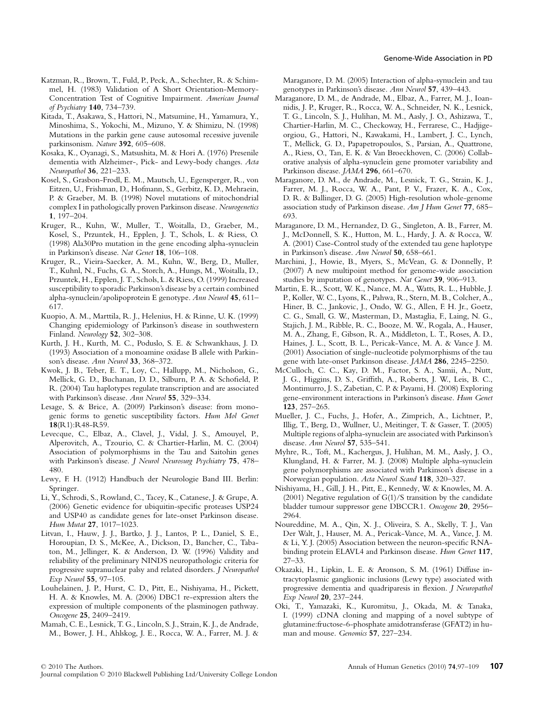- Katzman, R., Brown, T., Fuld, P., Peck, A., Schechter, R. & Schimmel, H. (1983) Validation of A Short Orientation-Memory-Concentration Test of Cognitive Impairment. *American Journal of Psychiatry* **140**, 734–739.
- Kitada, T., Asakawa, S., Hattori, N., Matsumine, H., Yamamura, Y., Minoshima, S., Yokochi, M., Mizuno, Y. & Shimizu, N. (1998) Mutations in the parkin gene cause autosomal recessive juvenile parkinsonism. *Nature* **392**, 605–608.
- Kosaka, K., Oyanagi, S., Matsushita, M. & Hori A. (1976) Presenile dementia with Alzheimer-, Pick- and Lewy-body changes. *Acta Neuropathol* **36**, 221–233.
- Kosel, S., Grasbon-Frodl, E. M., Mautsch, U., Egensperger, R., von Eitzen, U., Frishman, D., Hofmann, S., Gerbitz, K. D., Mehraein, P. & Graeber, M. B. (1998) Novel mutations of mitochondrial complex I in pathologically proven Parkinson disease. *Neurogenetics* **1**, 197–204.
- Kruger, R., Kuhn, W., Muller, T., Woitalla, D., Graeber, M., Kosel, S., Przuntek, H., Epplen, J. T., Schols, L. & Riess, O. (1998) Ala30Pro mutation in the gene encoding alpha-synuclein in Parkinson's disease. *Nat Genet* **18**, 106–108.
- Kruger, R., Vieira-Saecker, A. M., Kuhn, W., Berg, D., Muller, T., Kuhnl, N., Fuchs, G. A., Storch, A., Hungs, M., Woitalla, D., Przuntek, H., Epplen, J. T., Schols, L. & Riess, O. (1999) Increased susceptibility to sporadic Parkinson's disease by a certain combined alpha-synuclein/apolipoprotein E genotype. *Ann Neurol* **45**, 611– 617.
- Kuopio, A. M., Marttila, R. J., Helenius, H. & Rinne, U. K. (1999) Changing epidemiology of Parkinson's disease in southwestern Finland. *Neurology* **52**, 302–308.
- Kurth, J. H., Kurth, M. C., Poduslo, S. E. & Schwankhaus, J. D. (1993) Association of a monoamine oxidase B allele with Parkinson's disease. *Ann Neurol* **33**, 368–372.
- Kwok, J. B., Teber, E. T., Loy, C., Hallupp, M., Nicholson, G., Mellick, G. D., Buchanan, D. D., Silburn, P. A. & Schofield, P. R. (2004) Tau haplotypes regulate transcription and are associated with Parkinson's disease. *Ann Neurol* **55**, 329–334.
- Lesage, S. & Brice, A. (2009) Parkinson's disease: from monogenic forms to genetic susceptibility factors. *Hum Mol Genet* **18**(R1):R48-R59.
- Levecque, C., Elbaz, A., Clavel, J., Vidal, J. S., Amouyel, P., Alperovitch, A., Tzourio, C. & Chartier-Harlin, M. C. (2004) Association of polymorphisms in the Tau and Saitohin genes with Parkinson's disease. *J Neurol Neurosurg Psychiatry* **75**, 478– 480.
- Lewy, F. H. (1912) Handbuch der Neurologie Band III. Berlin: Springer.
- Li, Y., Schrodi, S., Rowland, C., Tacey, K., Catanese, J. & Grupe, A. (2006) Genetic evidence for ubiquitin-specific proteases USP24 and USP40 as candidate genes for late-onset Parkinson disease. *Hum Mutat* **27**, 1017–1023.
- Litvan, I., Hauw, J. J., Bartko, J. J., Lantos, P. L., Daniel, S. E., Horoupian, D. S., McKee, A., Dickson, D., Bancher, C., Tabaton, M., Jellinger, K. & Anderson, D. W. (1996) Validity and reliability of the preliminary NINDS neuropathologic criteria for progressive supranuclear palsy and related disorders. *J Neuropathol Exp Neurol* **55**, 97–105.
- Louhelainen, J. P., Hurst, C. D., Pitt, E., Nishiyama, H., Pickett, H. A. & Knowles, M. A. (2006) DBC1 re-expression alters the expression of multiple components of the plasminogen pathway. *Oncogene* **25**, 2409–2419.
- Mamah, C. E., Lesnick, T. G., Lincoln, S. J., Strain, K. J., de Andrade, M., Bower, J. H., Ahlskog, J. E., Rocca, W. A., Farrer, M. J. &

Maraganore, D. M. (2005) Interaction of alpha-synuclein and tau genotypes in Parkinson's disease. *Ann Neurol* **57**, 439–443.

- Maraganore, D. M., de Andrade, M., Elbaz, A., Farrer, M. J., Ioannidis, J. P., Kruger, R., Rocca, W. A., Schneider, N. K., Lesnick, T. G., Lincoln, S. J., Hulihan, M. M., Aasly, J. O., Ashizawa, T., Chartier-Harlin, M. C., Checkoway, H., Ferrarese, C., Hadjigeorgiou, G., Hattori, N., Kawakami, H., Lambert, J. C., Lynch, T., Mellick, G. D., Papapetropoulos, S., Parsian, A., Quattrone, A., Riess, O., Tan, E. K. & Van Broeckhoven, C. (2006) Collaborative analysis of alpha-synuclein gene promoter variability and Parkinson disease. *JAMA* **296**, 661–670.
- Maraganore, D. M., de Andrade, M., Lesnick, T. G., Strain, K. J., Farrer, M. J., Rocca, W. A., Pant, P. V., Frazer, K. A., Cox, D. R. & Ballinger, D. G. (2005) High-resolution whole-genome association study of Parkinson disease. *Am J Hum Genet* **77**, 685– 693.
- Maraganore, D. M., Hernandez, D. G., Singleton, A. B., Farrer, M. J., McDonnell, S. K., Hutton, M. L., Hardy, J. A. & Rocca, W. A. (2001) Case-Control study of the extended tau gene haplotype in Parkinson's disease. *Ann Neurol* **50**, 658–661.
- Marchini, J., Howie, B., Myers, S., McVean, G. & Donnelly, P. (2007) A new multipoint method for genome-wide association studies by imputation of genotypes. *Nat Genet* **39**, 906–913.
- Martin, E. R., Scott, W. K., Nance, M. A., Watts, R. L., Hubble, J. P., Koller, W. C., Lyons, K., Pahwa, R., Stern, M. B., Colcher, A., Hiner, B. C., Jankovic, J., Ondo, W. G., Allen, F. H. Jr., Goetz, C. G., Small, G. W., Masterman, D., Mastaglia, F., Laing, N. G., Stajich, J. M., Ribble, R. C., Booze, M. W., Rogala, A., Hauser, M. A., Zhang, F., Gibson, R. A., Middleton, L. T., Roses, A. D., Haines, J. L., Scott, B. L., Pericak-Vance, M. A. & Vance J. M. (2001) Association of single-nucleotide polymorphisms of the tau gene with late-onset Parkinson disease. *JAMA* **286**, 2245–2250.
- McCulloch, C. C., Kay, D. M., Factor, S. A., Samii, A., Nutt, J. G., Higgins, D. S., Griffith, A., Roberts, J. W., Leis, B. C., Montimurro, J. S., Zabetian, C. P. & Payami, H. (2008) Exploring gene-environment interactions in Parkinson's disease. *Hum Genet* **123**, 257–265.
- Mueller, J. C., Fuchs, J., Hofer, A., Zimprich, A., Lichtner, P., Illig, T., Berg, D., Wullner, U., Meitinger, T. & Gasser, T. (2005) Multiple regions of alpha-synuclein are associated with Parkinson's disease. *Ann Neurol* **57**, 535–541.
- Myhre, R., Toft, M., Kachergus, J, Hulihan, M. M., Aasly, J. O., Klungland, H. & Farrer, M. J. (2008) Multiple alpha-synuclein gene polymorphisms are associated with Parkinson's disease in a Norwegian population. *Acta Neurol Scand* **118**, 320–327.
- Nishiyama, H., Gill, J. H., Pitt, E., Kennedy, W. & Knowles, M. A. (2001) Negative regulation of G(1)/S transition by the candidate bladder tumour suppressor gene DBCCR1. *Oncogene* **20**, 2956– 2964.
- Noureddine, M. A., Qin, X. J., Oliveira, S. A., Skelly, T. J., Van Der Walt, J., Hauser, M. A., Pericak-Vance, M. A., Vance, J. M. & Li, Y. J. (2005) Association between the neuron-specific RNAbinding protein ELAVL4 and Parkinson disease. *Hum Genet* **117**, 27–33.
- Okazaki, H., Lipkin, L. E. & Aronson, S. M. (1961) Diffuse intracytoplasmic ganglionic inclusions (Lewy type) associated with progressive dementia and quadriparesis in flexion. *J Neuropathol Exp Neurol* **20**, 237–244.
- Oki, T., Yamazaki, K., Kuromitsu, J., Okada, M. & Tanaka, I. (1999) cDNA cloning and mapping of a novel subtype of glutamine:fructose-6-phosphate amidotransferase (GFAT2) in human and mouse. *Genomics* **57**, 227–234.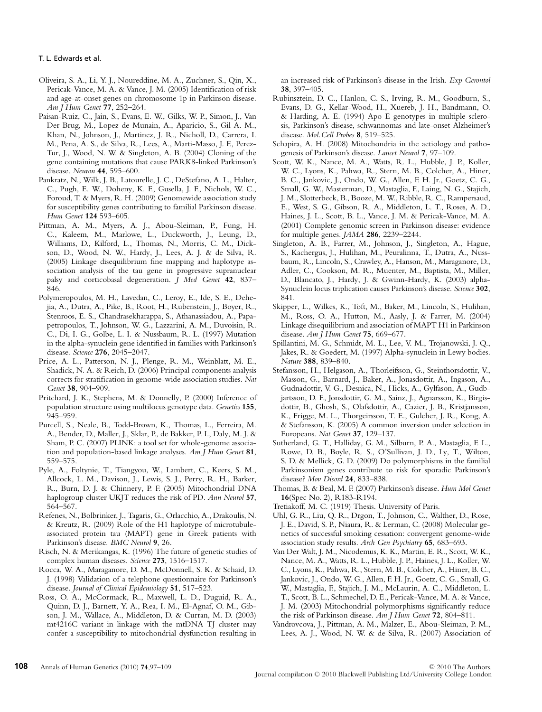- Oliveira, S. A., Li, Y. J., Noureddine, M. A., Zuchner, S., Qin, X., Pericak-Vance, M. A. & Vance, J. M. (2005) Identification of risk and age-at-onset genes on chromosome 1p in Parkinson disease. *Am J Hum Genet* **77**, 252–264.
- Paisan-Ruiz, C., Jain, S., Evans, E. W., Gilks, W. P., Simon, J., Van Der Brug, M., Lopez de Munain, A., Aparicio, S., Gil A. M., Khan, N., Johnson, J., Martinez, J. R., Nicholl, D., Carrera, I. M., Pena, A. S., de Silva, R., Lees, A., Marti-Masso, J. F., Perez-Tur, J., Wood, N. W. & Singleton, A. B. (2004) Cloning of the gene containing mutations that cause PARK8-linked Parkinson's disease. *Neuron* **44**, 595–600.
- Pankratz, N., Wilk, J. B., Latourelle, J. C., DeStefano, A. L., Halter, C., Pugh, E. W., Doheny, K. F., Gusella, J. F., Nichols, W. C., Foroud, T. & Myers, R. H. (2009) Genomewide association study for susceptibility genes contributing to familial Parkinson disease. *Hum Genet* **124** 593–605.
- Pittman, A. M., Myers, A. J., Abou-Sleiman, P., Fung, H. C., Kaleem, M., Marlowe, L., Duckworth, J., Leung, D., Williams, D., Kilford, L., Thomas, N., Morris, C. M., Dickson, D., Wood, N. W., Hardy, J., Lees, A. J. & de Silva, R. (2005) Linkage disequilibrium fine mapping and haplotype association analysis of the tau gene in progressive supranuclear palsy and corticobasal degeneration. *J Med Genet* **42**, 837– 846.
- Polymeropoulos, M. H., Lavedan, C., Leroy, E., Ide, S. E., Dehejia, A., Dutra, A., Pike, B., Root, H., Rubenstein, J., Boyer, R., Stenroos, E. S., Chandrasekharappa, S., Athanassiadou, A., Papapetropoulos, T., Johnson, W. G., Lazzarini, A. M., Duvoisin, R. C., Di, I. G., Golbe, L. I. & Nussbaum, R. L. (1997) Mutation in the alpha-synuclein gene identified in families with Parkinson's disease. *Science* **276**, 2045–2047.
- Price, A. L., Patterson, N. J., Plenge, R. M., Weinblatt, M. E., Shadick, N. A. & Reich, D. (2006) Principal components analysis corrects for stratification in genome-wide association studies. *Nat Genet* **38**, 904–909.
- Pritchard, J. K., Stephens, M. & Donnelly, P. (2000) Inference of population structure using multilocus genotype data. *Genetics* **155**, 945–959.
- Purcell, S., Neale, B., Todd-Brown, K., Thomas, L., Ferreira, M. A., Bender, D., Maller, J., Sklar, P., de Bakker, P. I., Daly, M. J. & Sham, P. C. (2007) PLINK: a tool set for whole-genome association and population-based linkage analyses. *Am J Hum Genet* **81**, 559–575.
- Pyle, A., Foltynie, T., Tiangyou, W., Lambert, C., Keers, S. M., Allcock, L. M., Davison, J., Lewis, S. J., Perry, R. H., Barker, R., Burn, D. J. & Chinnery, P. F. (2005) Mitochondrial DNA haplogroup cluster UKJT reduces the risk of PD. *Ann Neurol* **57**, 564–567.
- Refenes, N., Bolbrinker, J., Tagaris, G., Orlacchio, A., Drakoulis, N. & Kreutz, R. (2009) Role of the H1 haplotype of microtubuleassociated protein tau (MAPT) gene in Greek patients with Parkinson's disease. *BMC Neurol* **9**, 26.
- Risch, N. & Merikangas, K. (1996) The future of genetic studies of complex human diseases. *Science* **273**, 1516–1517.
- Rocca, W. A., Maraganore, D. M., McDonnell, S. K. & Schaid, D. J. (1998) Validation of a telephone questionnaire for Parkinson's disease. *Journal of Clinical Epidemiology* **51**, 517–523.
- Ross, O. A., McCormack, R., Maxwell, L. D., Duguid, R. A., Quinn, D. J., Barnett, Y. A., Rea, I. M., El-Agnaf, O. M., Gibson, J. M., Wallace, A., Middleton, D. & Curran, M. D. (2003) mt4216C variant in linkage with the mtDNA TJ cluster may confer a susceptibility to mitochondrial dysfunction resulting in

an increased risk of Parkinson's disease in the Irish. *Exp Gerontol* **38**, 397–405.

- Rubinsztein, D. C., Hanlon, C. S., Irving, R. M., Goodburn, S., Evans, D. G., Kellar-Wood, H., Xuereb, J. H., Bandmann, O. & Harding, A. E. (1994) Apo E genotypes in multiple sclerosis, Parkinson's disease, schwannomas and late-onset Alzheimer's disease. *Mol.Cell Probes* **8**, 519–525.
- Schapira, A. H. (2008) Mitochondria in the aetiology and pathogenesis of Parkinson's disease. *Lancet Neurol* **7**, 97–109.
- Scott, W. K., Nance, M. A., Watts, R. L., Hubble, J. P., Koller, W. C., Lyons, K., Pahwa, R., Stern, M. B., Colcher, A., Hiner, B. C., Jankovic, J., Ondo, W. G., Allen, F. H. Jr., Goetz, C. G., Small, G. W., Masterman, D., Mastaglia, F., Laing, N. G., Stajich, J. M., Slotterbeck, B., Booze, M. W., Ribble, R. C., Rampersaud, E., West, S. G., Gibson, R. A., Middleton, L. T., Roses, A. D., Haines, J. L., Scott, B. L., Vance, J. M. & Pericak-Vance, M. A. (2001) Complete genomic screen in Parkinson disease: evidence for multiple genes. *JAMA* **286**, 2239–2244.
- Singleton, A. B., Farrer, M., Johnson, J., Singleton, A., Hague, S., Kachergus, J., Hulihan, M., Peuralinna, T., Dutra, A., Nussbaum, R., Lincoln, S., Crawley, A., Hanson, M., Maraganore, D., Adler, C., Cookson, M. R., Muenter, M., Baptista, M., Miller, D., Blancato, J., Hardy, J. & Gwinn-Hardy, K. (2003) alpha-Synuclein locus triplication causes Parkinson's disease. *Science* **302**, 841.
- Skipper, L., Wilkes, K., Toft, M., Baker, M., Lincoln, S., Hulihan, M., Ross, O. A., Hutton, M., Aasly, J. & Farrer, M. (2004) Linkage disequilibrium and association of MAPT H1 in Parkinson disease. *Am J Hum Genet* **75**, 669–677.
- Spillantini, M. G., Schmidt, M. L., Lee, V. M., Trojanowski, J. Q., Jakes, R. & Goedert, M. (1997) Alpha-synuclein in Lewy bodies. *Nature* **388**, 839–840.
- Stefansson, H., Helgason, A., Thorleifsson, G., Steinthorsdottir, V., Masson, G., Barnard, J., Baker, A., Jonasdottir, A., Ingason, A., Gudnadottir, V. G., Desnica, N., Hicks, A., Gylfason, A., Gudbjartsson, D. F., Jonsdottir, G. M., Sainz, J., Agnarsson, K., Birgisdottir, B., Ghosh, S., Olafsdottir, A., Cazier, J. B., Kristjansson, K., Frigge, M. L., Thorgeirsson, T. E., Gulcher, J. R., Kong, A. & Stefansson, K. (2005) A common inversion under selection in Europeans. *Nat Genet* **37**, 129–137.
- Sutherland, G. T., Halliday, G. M., Silburn, P. A., Mastaglia, F. L., Rowe, D. B., Boyle, R. S., O'Sullivan, J. D., Ly, T., Wilton, S. D. & Mellick, G. D. (2009) Do polymorphisms in the familial Parkinsonism genes contribute to risk for sporadic Parkinson's disease? *Mov Disord* **24**, 833–838.
- Thomas, B. & Beal, M. F. (2007) Parkinson's disease. *Hum Mol Genet* **16**(Spec No. 2), R183-R194.
- Tretiakoff, M. C. (1919) Thesis. University of Paris.
- Uhl, G. R., Liu, Q. R., Drgon, T., Johnson, C., Walther, D., Rose, J. E., David, S. P., Niaura, R. & Lerman, C. (2008) Molecular genetics of successful smoking cessation: convergent genome-wide association study results. *Arch Gen Psychiatry* **65**, 683–693.
- Van Der Walt, J. M., Nicodemus, K. K., Martin, E. R., Scott, W. K., Nance, M. A., Watts, R. L., Hubble, J. P., Haines, J. L., Koller, W. C., Lyons, K., Pahwa, R., Stern, M. B., Colcher, A., Hiner, B. C., Jankovic, J., Ondo, W. G., Allen, F. H. Jr., Goetz, C. G., Small, G. W., Mastaglia, F., Stajich, J. M., McLaurin, A. C., Middleton, L. T., Scott, B. L., Schmechel, D. E., Pericak-Vance, M. A. & Vance, J. M. (2003) Mitochondrial polymorphisms significantly reduce the risk of Parkinson disease. *Am J Hum Genet* **72**, 804–811.
- Vandrovcova, J., Pittman, A. M., Malzer, E., Abou-Sleiman, P. M., Lees, A. J., Wood, N. W. & de Silva, R. (2007) Association of